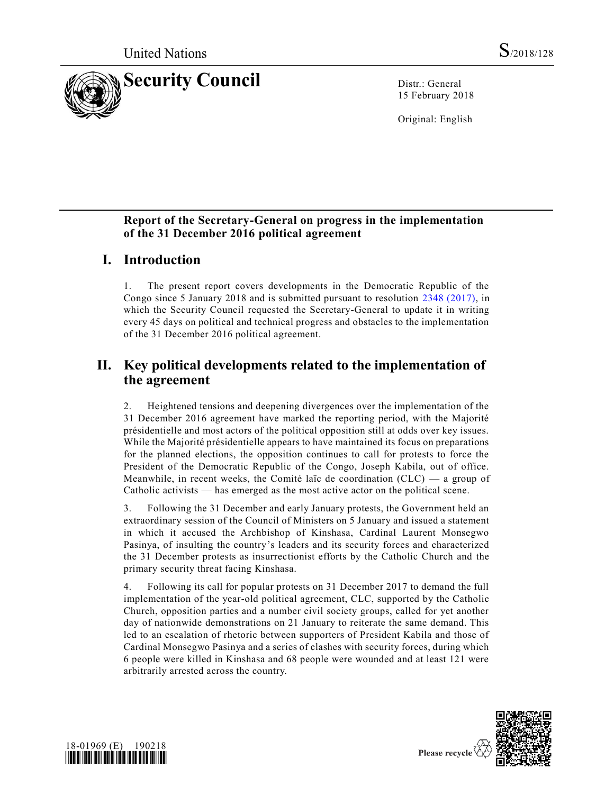

15 February 2018

Original: English

### **Report of the Secretary-General on progress in the implementation of the 31 December 2016 political agreement**

## **I. Introduction**

1. The present report covers developments in the Democratic Republic of the Congo since 5 January 2018 and is submitted pursuant to resolution [2348 \(2017\),](https://undocs.org/S/RES/2348(2017)) in which the Security Council requested the Secretary-General to update it in writing every 45 days on political and technical progress and obstacles to the implementation of the 31 December 2016 political agreement.

# **II. Key political developments related to the implementation of the agreement**

2. Heightened tensions and deepening divergences over the implementation of the 31 December 2016 agreement have marked the reporting period, with the Majorité présidentielle and most actors of the political opposition still at odds over key issues. While the Majorité présidentielle appears to have maintained its focus on preparations for the planned elections, the opposition continues to call for protests to force the President of the Democratic Republic of the Congo, Joseph Kabila, out of office. Meanwhile, in recent weeks, the Comité laïc de coordination (CLC) — a group of Catholic activists — has emerged as the most active actor on the political scene.

3. Following the 31 December and early January protests, the Government held an extraordinary session of the Council of Ministers on 5 January and issued a statement in which it accused the Archbishop of Kinshasa, Cardinal Laurent Monsegwo Pasinya, of insulting the country's leaders and its security forces and characterized the 31 December protests as insurrectionist efforts by the Catholic Church and the primary security threat facing Kinshasa.

4. Following its call for popular protests on 31 December 2017 to demand the full implementation of the year-old political agreement, CLC, supported by the Catholic Church, opposition parties and a number civil society groups, called for yet another day of nationwide demonstrations on 21 January to reiterate the same demand. This led to an escalation of rhetoric between supporters of President Kabila and those of Cardinal Monsegwo Pasinya and a series of clashes with security forces, during which 6 people were killed in Kinshasa and 68 people were wounded and at least 121 were arbitrarily arrested across the country.



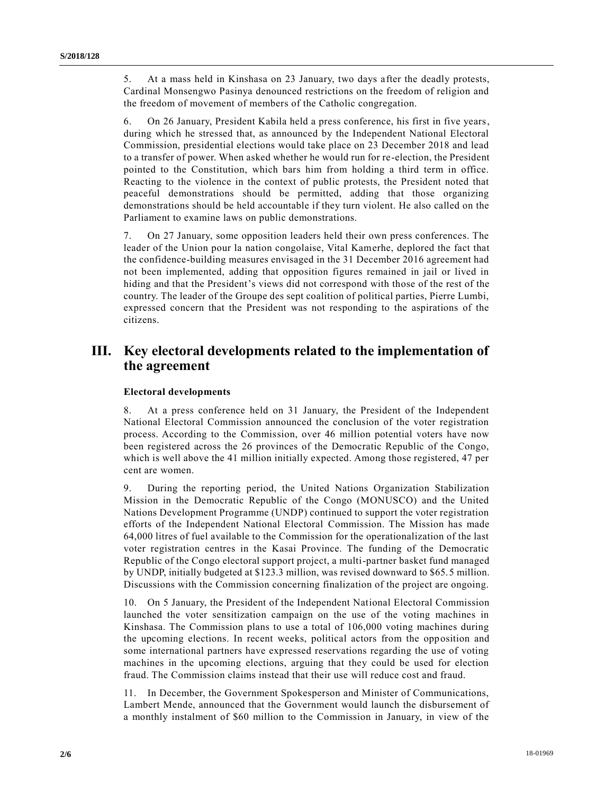5. At a mass held in Kinshasa on 23 January, two days after the deadly protests, Cardinal Monsengwo Pasinya denounced restrictions on the freedom of religion and the freedom of movement of members of the Catholic congregation.

6. On 26 January, President Kabila held a press conference, his first in five years, during which he stressed that, as announced by the Independent National Electoral Commission, presidential elections would take place on 23 December 2018 and lead to a transfer of power. When asked whether he would run for re-election, the President pointed to the Constitution, which bars him from holding a third term in office. Reacting to the violence in the context of public protests, the President noted that peaceful demonstrations should be permitted, adding that those organizing demonstrations should be held accountable if they turn violent. He also called on the Parliament to examine laws on public demonstrations.

7. On 27 January, some opposition leaders held their own press conferences. The leader of the Union pour la nation congolaise, Vital Kamerhe, deplored the fact that the confidence-building measures envisaged in the 31 December 2016 agreement had not been implemented, adding that opposition figures remained in jail or lived in hiding and that the President's views did not correspond with those of the rest of the country. The leader of the Groupe des sept coalition of political parties, Pierre Lumbi, expressed concern that the President was not responding to the aspirations of the citizens.

# **III. Key electoral developments related to the implementation of the agreement**

#### **Electoral developments**

8. At a press conference held on 31 January, the President of the Independent National Electoral Commission announced the conclusion of the voter registration process. According to the Commission, over 46 million potential voters have now been registered across the 26 provinces of the Democratic Republic of the Congo, which is well above the 41 million initially expected. Among those registered, 47 per cent are women.

9. During the reporting period, the United Nations Organization Stabilization Mission in the Democratic Republic of the Congo (MONUSCO) and the United Nations Development Programme (UNDP) continued to support the voter registration efforts of the Independent National Electoral Commission. The Mission has made 64,000 litres of fuel available to the Commission for the operationalization of the last voter registration centres in the Kasai Province. The funding of the Democratic Republic of the Congo electoral support project, a multi-partner basket fund managed by UNDP, initially budgeted at \$123.3 million, was revised downward to \$65.5 million. Discussions with the Commission concerning finalization of the project are ongoing.

10. On 5 January, the President of the Independent National Electoral Commission launched the voter sensitization campaign on the use of the voting machines in Kinshasa. The Commission plans to use a total of 106,000 voting machines during the upcoming elections. In recent weeks, political actors from the opposition and some international partners have expressed reservations regarding the use of voting machines in the upcoming elections, arguing that they could be used for election fraud. The Commission claims instead that their use will reduce cost and fraud.

11. In December, the Government Spokesperson and Minister of Communications, Lambert Mende, announced that the Government would launch the disbursement of a monthly instalment of \$60 million to the Commission in January, in view of the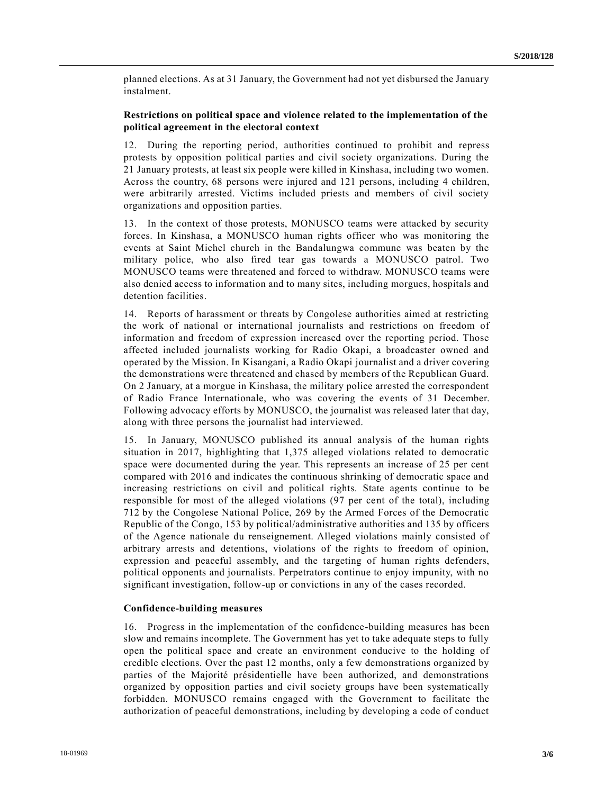planned elections. As at 31 January, the Government had not yet disbursed the January instalment.

#### **Restrictions on political space and violence related to the implementation of the political agreement in the electoral context**

12. During the reporting period, authorities continued to prohibit and repress protests by opposition political parties and civil society organizations. During the 21 January protests, at least six people were killed in Kinshasa, including two women. Across the country, 68 persons were injured and 121 persons, including 4 children, were arbitrarily arrested. Victims included priests and members of civil society organizations and opposition parties.

13. In the context of those protests, MONUSCO teams were attacked by security forces. In Kinshasa, a MONUSCO human rights officer who was monitoring the events at Saint Michel church in the Bandalungwa commune was beaten by the military police, who also fired tear gas towards a MONUSCO patrol. Two MONUSCO teams were threatened and forced to withdraw. MONUSCO teams were also denied access to information and to many sites, including morgues, hospitals and detention facilities.

14. Reports of harassment or threats by Congolese authorities aimed at restricting the work of national or international journalists and restrictions on freedom of information and freedom of expression increased over the reporting period. Those affected included journalists working for Radio Okapi, a broadcaster owned and operated by the Mission. In Kisangani, a Radio Okapi journalist and a driver covering the demonstrations were threatened and chased by members of the Republican Guard. On 2 January, at a morgue in Kinshasa, the military police arrested the correspondent of Radio France Internationale, who was covering the events of 31 December. Following advocacy efforts by MONUSCO, the journalist was released later that day, along with three persons the journalist had interviewed.

15. In January, MONUSCO published its annual analysis of the human rights situation in 2017, highlighting that 1,375 alleged violations related to democratic space were documented during the year. This represents an increase of 25 per cent compared with 2016 and indicates the continuous shrinking of democratic space and increasing restrictions on civil and political rights. State agents continue to be responsible for most of the alleged violations (97 per cent of the total), including 712 by the Congolese National Police, 269 by the Armed Forces of the Democratic Republic of the Congo, 153 by political/administrative authorities and 135 by officers of the Agence nationale du renseignement. Alleged violations mainly consisted of arbitrary arrests and detentions, violations of the rights to freedom of opinion, expression and peaceful assembly, and the targeting of human rights defenders, political opponents and journalists. Perpetrators continue to enjoy impunity, with no significant investigation, follow-up or convictions in any of the cases recorded.

#### **Confidence-building measures**

16. Progress in the implementation of the confidence-building measures has been slow and remains incomplete. The Government has yet to take adequate steps to fully open the political space and create an environment conducive to the holding of credible elections. Over the past 12 months, only a few demonstrations organized by parties of the Majorité présidentielle have been authorized, and demonstrations organized by opposition parties and civil society groups have been systematically forbidden. MONUSCO remains engaged with the Government to facilitate the authorization of peaceful demonstrations, including by developing a code of conduct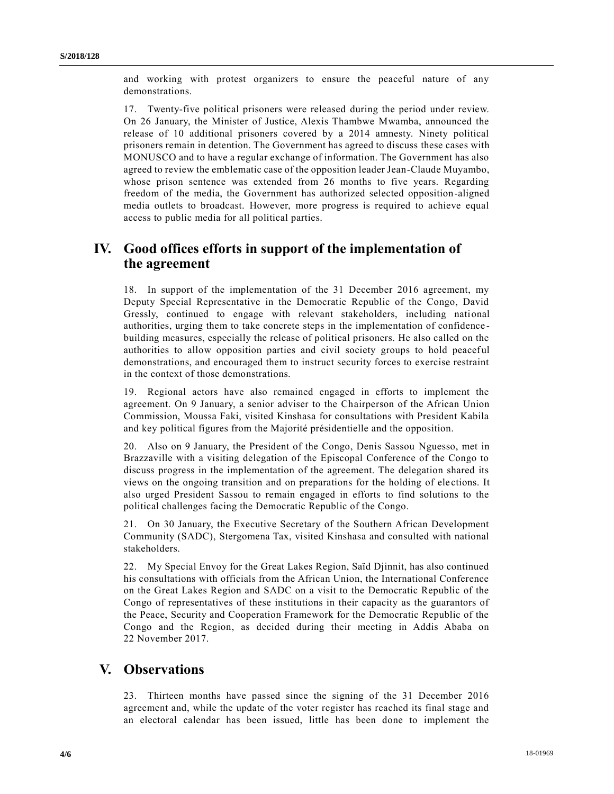and working with protest organizers to ensure the peaceful nature of any demonstrations.

17. Twenty-five political prisoners were released during the period under review. On 26 January, the Minister of Justice, Alexis Thambwe Mwamba, announced the release of 10 additional prisoners covered by a 2014 amnesty. Ninety political prisoners remain in detention. The Government has agreed to discuss these cases with MONUSCO and to have a regular exchange of information. The Government has also agreed to review the emblematic case of the opposition leader Jean-Claude Muyambo, whose prison sentence was extended from 26 months to five years. Regarding freedom of the media, the Government has authorized selected opposition-aligned media outlets to broadcast. However, more progress is required to achieve equal access to public media for all political parties.

# **IV. Good offices efforts in support of the implementation of the agreement**

18. In support of the implementation of the 31 December 2016 agreement, my Deputy Special Representative in the Democratic Republic of the Congo, David Gressly, continued to engage with relevant stakeholders, including national authorities, urging them to take concrete steps in the implementation of confidence building measures, especially the release of political prisoners. He also called on the authorities to allow opposition parties and civil society groups to hold peaceful demonstrations, and encouraged them to instruct security forces to exercise restraint in the context of those demonstrations.

19. Regional actors have also remained engaged in efforts to implement the agreement. On 9 January, a senior adviser to the Chairperson of the African Union Commission, Moussa Faki, visited Kinshasa for consultations with President Kabila and key political figures from the Majorité présidentielle and the opposition.

20. Also on 9 January, the President of the Congo, Denis Sassou Nguesso, met in Brazzaville with a visiting delegation of the Episcopal Conference of the Congo to discuss progress in the implementation of the agreement. The delegation shared its views on the ongoing transition and on preparations for the holding of ele ctions. It also urged President Sassou to remain engaged in efforts to find solutions to the political challenges facing the Democratic Republic of the Congo.

21. On 30 January, the Executive Secretary of the Southern African Development Community (SADC), Stergomena Tax, visited Kinshasa and consulted with national stakeholders.

22. My Special Envoy for the Great Lakes Region, Saïd Djinnit, has also continued his consultations with officials from the African Union, the International Conference on the Great Lakes Region and SADC on a visit to the Democratic Republic of the Congo of representatives of these institutions in their capacity as the guarantors of the Peace, Security and Cooperation Framework for the Democratic Republic of the Congo and the Region, as decided during their meeting in Addis Ababa on 22 November 2017.

### **V. Observations**

23. Thirteen months have passed since the signing of the 31 December 2016 agreement and, while the update of the voter register has reached its final stage and an electoral calendar has been issued, little has been done to implement the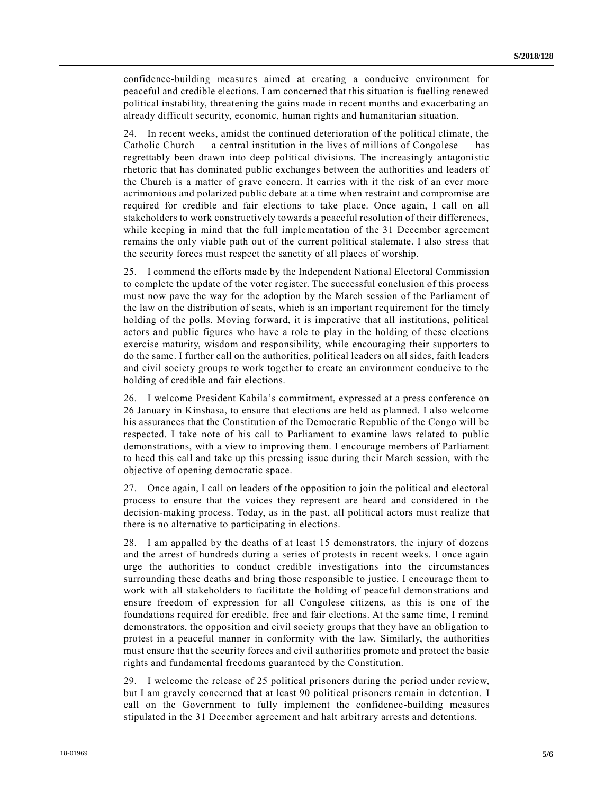confidence-building measures aimed at creating a conducive environment for peaceful and credible elections. I am concerned that this situation is fuelling renewed political instability, threatening the gains made in recent months and exacerbating an already difficult security, economic, human rights and humanitarian situation.

24. In recent weeks, amidst the continued deterioration of the political climate, the Catholic Church — a central institution in the lives of millions of Congolese — has regrettably been drawn into deep political divisions. The increasingly antagonistic rhetoric that has dominated public exchanges between the authorities and leaders of the Church is a matter of grave concern. It carries with it the risk of an ever more acrimonious and polarized public debate at a time when restraint and compromise are required for credible and fair elections to take place. Once again, I call on all stakeholders to work constructively towards a peaceful resolution of their differences, while keeping in mind that the full implementation of the 31 December agreement remains the only viable path out of the current political stalemate. I also stress that the security forces must respect the sanctity of all places of worship.

25. I commend the efforts made by the Independent National Electoral Commission to complete the update of the voter register. The successful conclusion of this process must now pave the way for the adoption by the March session of the Parliament of the law on the distribution of seats, which is an important requirement for the timely holding of the polls. Moving forward, it is imperative that all institutions, political actors and public figures who have a role to play in the holding of these elections exercise maturity, wisdom and responsibility, while encouraging their supporters to do the same. I further call on the authorities, political leaders on all sides, faith leaders and civil society groups to work together to create an environment conducive to the holding of credible and fair elections.

26. I welcome President Kabila's commitment, expressed at a press conference on 26 January in Kinshasa, to ensure that elections are held as planned. I also welcome his assurances that the Constitution of the Democratic Republic of the Congo will be respected. I take note of his call to Parliament to examine laws related to public demonstrations, with a view to improving them. I encourage members of Parliament to heed this call and take up this pressing issue during their March session, with the objective of opening democratic space.

27. Once again, I call on leaders of the opposition to join the political and electoral process to ensure that the voices they represent are heard and considered in the decision-making process. Today, as in the past, all political actors must realize that there is no alternative to participating in elections.

28. I am appalled by the deaths of at least 15 demonstrators, the injury of dozens and the arrest of hundreds during a series of protests in recent weeks. I once again urge the authorities to conduct credible investigations into the circumstances surrounding these deaths and bring those responsible to justice. I encourage them to work with all stakeholders to facilitate the holding of peaceful demonstrations and ensure freedom of expression for all Congolese citizens, as this is one of the foundations required for credible, free and fair elections. At the same time, I remind demonstrators, the opposition and civil society groups that they have an obligation to protest in a peaceful manner in conformity with the law. Similarly, the authorities must ensure that the security forces and civil authorities promote and protect the basic rights and fundamental freedoms guaranteed by the Constitution.

29. I welcome the release of 25 political prisoners during the period under review, but I am gravely concerned that at least 90 political prisoners remain in detention. I call on the Government to fully implement the confidence-building measures stipulated in the 31 December agreement and halt arbitrary arrests and detentions.